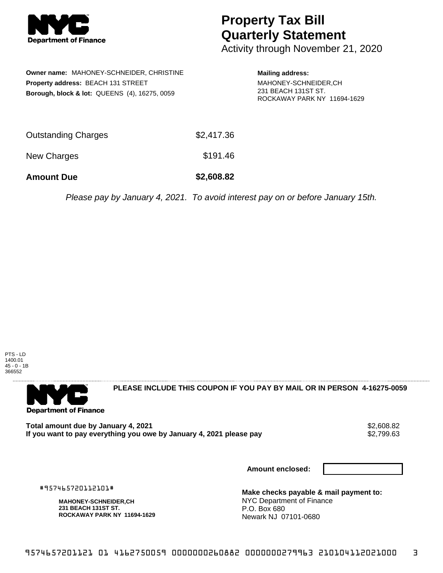

## **Property Tax Bill Quarterly Statement**

Activity through November 21, 2020

|                                    | <b>Owner name: MAHONEY-SCHNEIDER, CHRISTINE</b>          |  |  |
|------------------------------------|----------------------------------------------------------|--|--|
| Property address: BEACH 131 STREET |                                                          |  |  |
|                                    | <b>Borough, block &amp; lot: QUEENS (4), 16275, 0059</b> |  |  |

## **Mailing address:** MAHONEY-SCHNEIDER,CH 231 BEACH 131ST ST. ROCKAWAY PARK NY 11694-1629

| <b>Amount Due</b>   | \$2,608.82 |
|---------------------|------------|
| New Charges         | \$191.46   |
| Outstanding Charges | \$2,417.36 |

Please pay by January 4, 2021. To avoid interest pay on or before January 15th.

PTS - LD 1400.01 45 - 0 - 1B 366552



**PLEASE INCLUDE THIS COUPON IF YOU PAY BY MAIL OR IN PERSON 4-16275-0059** 

Total amount due by January 4, 2021<br>If you want to pay everything you owe by January 4, 2021 please pay **show that the set of the set of the set of** If you want to pay everything you owe by January 4, 2021 please pay

**Amount enclosed:**

#957465720112101#

**MAHONEY-SCHNEIDER,CH 231 BEACH 131ST ST. ROCKAWAY PARK NY 11694-1629**

**Make checks payable & mail payment to:** NYC Department of Finance P.O. Box 680 Newark NJ 07101-0680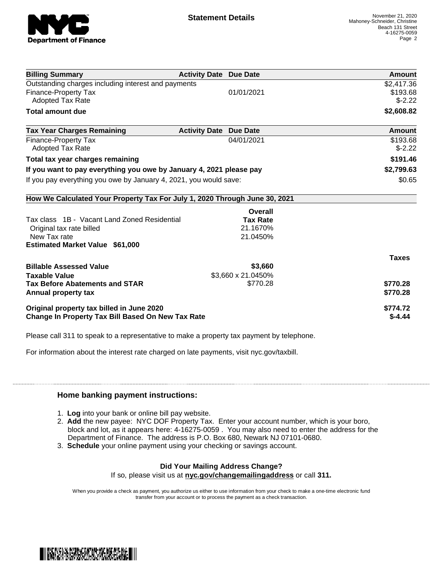

| <b>Billing Summary</b>                                                     | <b>Activity Date Due Date</b>           | <b>Amount</b> |
|----------------------------------------------------------------------------|-----------------------------------------|---------------|
| Outstanding charges including interest and payments                        |                                         | \$2,417.36    |
| Finance-Property Tax                                                       | 01/01/2021                              | \$193.68      |
| Adopted Tax Rate                                                           |                                         | $$-2.22$      |
| <b>Total amount due</b>                                                    |                                         | \$2,608.82    |
| <b>Tax Year Charges Remaining</b>                                          | <b>Activity Date</b><br><b>Due Date</b> | Amount        |
| Finance-Property Tax                                                       | 04/01/2021                              | \$193.68      |
| <b>Adopted Tax Rate</b>                                                    |                                         | $$-2.22$      |
| Total tax year charges remaining                                           | \$191.46                                |               |
| If you want to pay everything you owe by January 4, 2021 please pay        | \$2,799.63                              |               |
| If you pay everything you owe by January 4, 2021, you would save:          | \$0.65                                  |               |
| How We Calculated Your Property Tax For July 1, 2020 Through June 30, 2021 |                                         |               |
|                                                                            | Overall                                 |               |
| Tax class 1B - Vacant Land Zoned Residential                               | <b>Tax Rate</b>                         |               |
| Original tax rate billed                                                   | 21.1670%                                |               |
| New Tax rate                                                               | 21.0450%                                |               |
| <b>Estimated Market Value \$61,000</b>                                     |                                         |               |
|                                                                            |                                         | <b>Taxes</b>  |
| <b>Billable Assessed Value</b>                                             | \$3,660                                 |               |
| <b>Taxable Value</b>                                                       | \$3,660 x 21.0450%                      |               |
| <b>Tax Before Abatements and STAR</b>                                      | \$770.28                                | \$770.28      |
| Annual property tax                                                        |                                         | \$770.28      |
| Original property tax billed in June 2020                                  | \$774.72                                |               |
| <b>Change In Property Tax Bill Based On New Tax Rate</b>                   | $$-4.44$                                |               |

Please call 311 to speak to a representative to make a property tax payment by telephone.

For information about the interest rate charged on late payments, visit nyc.gov/taxbill.

## **Home banking payment instructions:**

- 1. **Log** into your bank or online bill pay website.
- 2. **Add** the new payee: NYC DOF Property Tax. Enter your account number, which is your boro, block and lot, as it appears here: 4-16275-0059 . You may also need to enter the address for the Department of Finance. The address is P.O. Box 680, Newark NJ 07101-0680.
- 3. **Schedule** your online payment using your checking or savings account.

## **Did Your Mailing Address Change?**

If so, please visit us at **nyc.gov/changemailingaddress** or call **311.**

When you provide a check as payment, you authorize us either to use information from your check to make a one-time electronic fund transfer from your account or to process the payment as a check transaction.